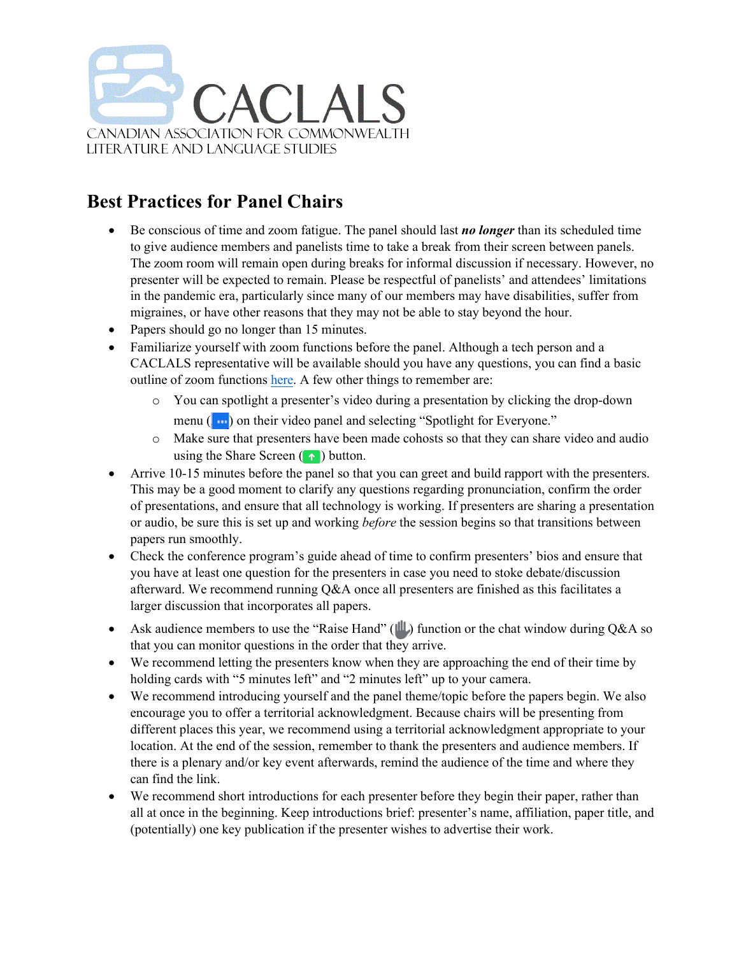

## **Best Practices for Panel Chairs**

- Be conscious of time and zoom fatigue. The panel should last *no longer* than its scheduled time to give audience members and panelists time to take a break from their screen between panels. The zoom room will remain open during breaks for informal discussion if necessary. However, no presenter will be expected to remain. Please be respectful of panelists' and attendees' limitations in the pandemic era, particularly since many of our members may have disabilities, suffer from migraines, or have other reasons that they may not be able to stay beyond the hour.
- Papers should go no longer than 15 minutes.
- Familiarize yourself with zoom functions before the panel. Although a tech person and a CACLALS representative will be available should you have any questions, you can find a basic outline of zoom functions [here.](https://support.zoom.us/hc/en-us/articles/201362603-Host-and-co-host-controls-in-a-meeting) A few other things to remember are:
	- o You can spotlight a presenter's video during a presentation by clicking the drop-down menu  $(\cdot\cdot\cdot)$  on their video panel and selecting "Spotlight for Everyone."
	- o Make sure that presenters have been made cohosts so that they can share video and audio using the Share Screen  $( \cdot )$  button.
- Arrive 10-15 minutes before the panel so that you can greet and build rapport with the presenters. This may be a good moment to clarify any questions regarding pronunciation, confirm the order of presentations, and ensure that all technology is working. If presenters are sharing a presentation or audio, be sure this is set up and working *before* the session begins so that transitions between papers run smoothly.
- Check the conference program's guide ahead of time to confirm presenters' bios and ensure that you have at least one question for the presenters in case you need to stoke debate/discussion afterward. We recommend running Q&A once all presenters are finished as this facilitates a larger discussion that incorporates all papers.
- Ask audience members to use the "Raise Hand" ( $\parallel \parallel$ ) function or the chat window during Q&A so that you can monitor questions in the order that they arrive.
- We recommend letting the presenters know when they are approaching the end of their time by holding cards with "5 minutes left" and "2 minutes left" up to your camera.
- We recommend introducing yourself and the panel theme/topic before the papers begin. We also encourage you to offer a territorial acknowledgment. Because chairs will be presenting from different places this year, we recommend using a territorial acknowledgment appropriate to your location. At the end of the session, remember to thank the presenters and audience members. If there is a plenary and/or key event afterwards, remind the audience of the time and where they can find the link.
- We recommend short introductions for each presenter before they begin their paper, rather than all at once in the beginning. Keep introductions brief: presenter's name, affiliation, paper title, and (potentially) one key publication if the presenter wishes to advertise their work.